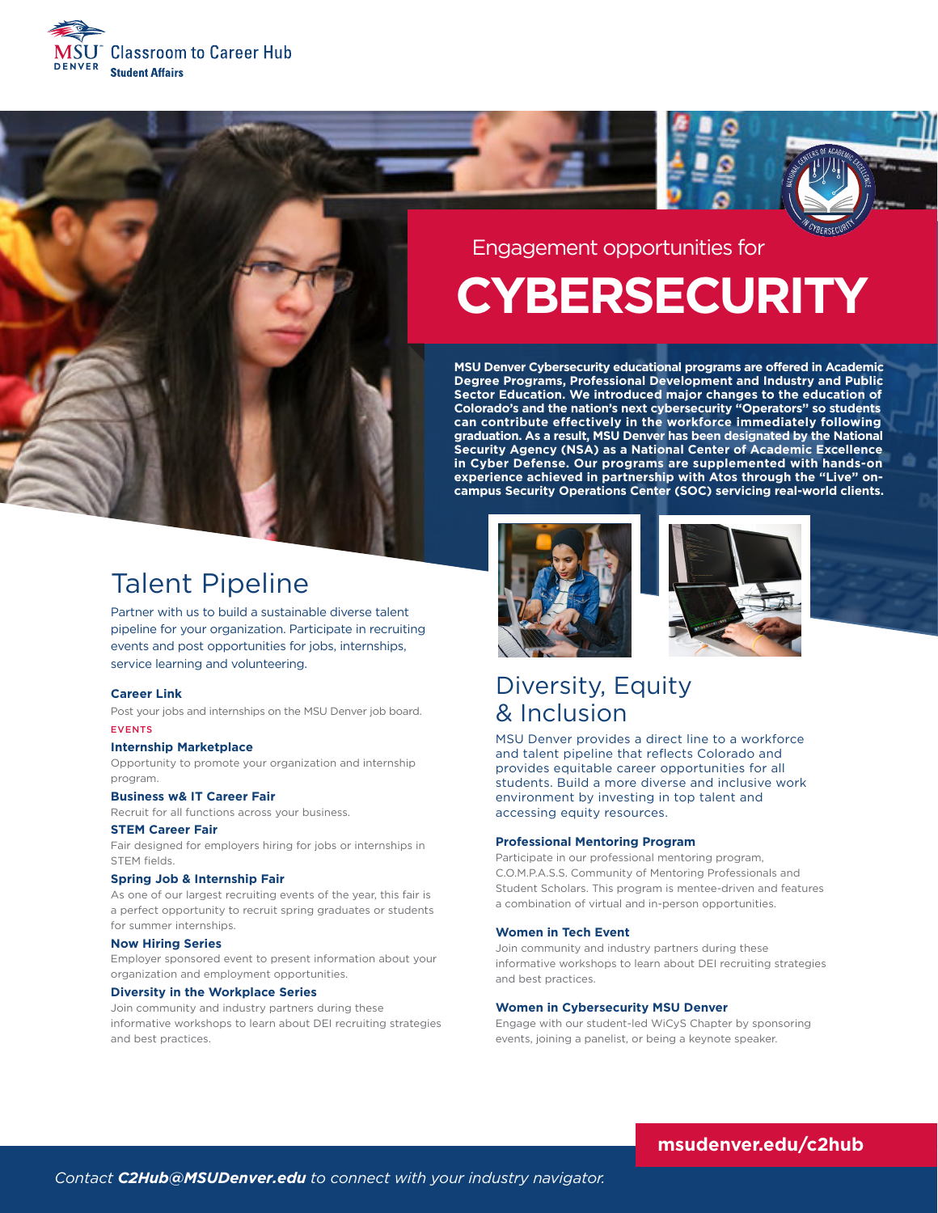



### Engagement opportunities for

# **CYBERSECURITY**

**MSU Denver Cybersecurity educational programs are offered in Academic Degree Programs, Professional Development and Industry and Public Sector Education. We introduced major changes to the education of Colorado's and the nation's next cybersecurity "Operators" so students can contribute effectively in the workforce immediately following graduation. As a result, MSU Denver has been designated by the National Security Agency (NSA) as a National Center of Academic Excellence in Cyber Defense. Our programs are supplemented with hands-on experience achieved in partnership with Atos through the "Live" oncampus Security Operations Center (SOC) servicing real-world clients.**

# Talent Pipeline

Partner with us to build a sustainable diverse talent pipeline for your organization. Participate in recruiting events and post opportunities for jobs, internships, service learning and volunteering.

#### **Career Link**

Post your jobs and internships on the MSU Denver job board. EVENTS

#### **Internship Marketplace**

Opportunity to promote your organization and internship program.

#### **Business w& IT Career Fair**

Recruit for all functions across your business.

#### **STEM Career Fair**

Fair designed for employers hiring for jobs or internships in STEM fields.

#### **Spring Job & Internship Fair**

As one of our largest recruiting events of the year, this fair is a perfect opportunity to recruit spring graduates or students for summer internships.

#### **Now Hiring Series**

Employer sponsored event to present information about your organization and employment opportunities.

#### **Diversity in the Workplace Series**

Join community and industry partners during these informative workshops to learn about DEI recruiting strategies and best practices.





### Diversity, Equity & Inclusion

MSU Denver provides a direct line to a workforce and talent pipeline that reflects Colorado and provides equitable career opportunities for all students. Build a more diverse and inclusive work environment by investing in top talent and accessing equity resources.

#### **Professional Mentoring Program**

Participate in our professional mentoring program, C.O.M.P.A.S.S. Community of Mentoring Professionals and Student Scholars. This program is mentee-driven and features a combination of virtual and in-person opportunities.

#### **Women in Tech Event**

Join community and industry partners during these informative workshops to learn about DEI recruiting strategies and best practices.

#### **Women in Cybersecurity MSU Denver**

Engage with our student-led WiCyS Chapter by sponsoring events, joining a panelist, or being a keynote speaker.